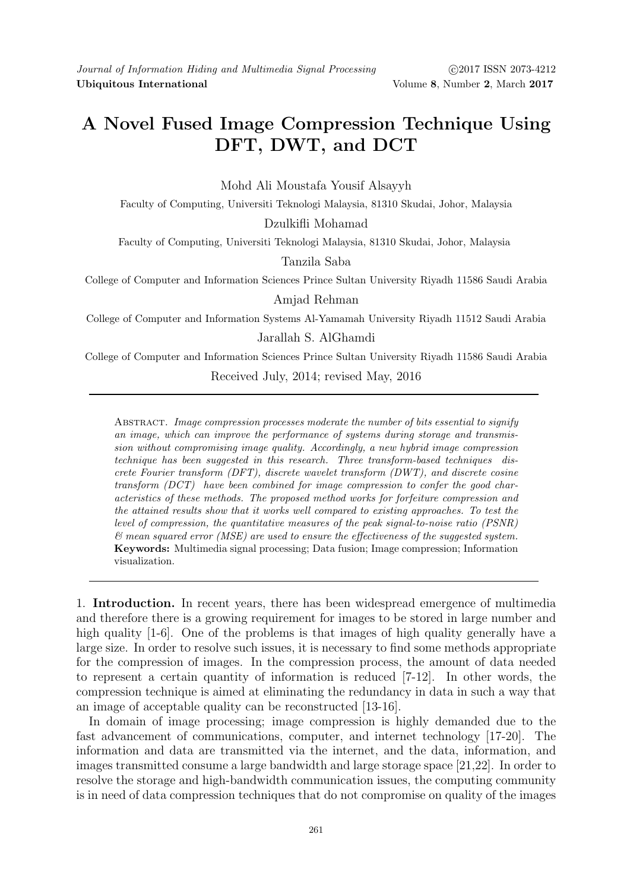## A Novel Fused Image Compression Technique Using DFT, DWT, and DCT

Mohd Ali Moustafa Yousif Alsayyh

Faculty of Computing, Universiti Teknologi Malaysia, 81310 Skudai, Johor, Malaysia

Dzulkifli Mohamad

Faculty of Computing, Universiti Teknologi Malaysia, 81310 Skudai, Johor, Malaysia

Tanzila Saba

College of Computer and Information Sciences Prince Sultan University Riyadh 11586 Saudi Arabia

Amjad Rehman

College of Computer and Information Systems Al-Yamamah University Riyadh 11512 Saudi Arabia

Jarallah S. AlGhamdi

College of Computer and Information Sciences Prince Sultan University Riyadh 11586 Saudi Arabia Received July, 2014; revised May, 2016

ABSTRACT. Image compression processes moderate the number of bits essential to signify an image, which can improve the performance of systems during storage and transmission without compromising image quality. Accordingly, a new hybrid image compression technique has been suggested in this research. Three transform-based techniques discrete Fourier transform (DFT), discrete wavelet transform (DWT), and discrete cosine transform (DCT) have been combined for image compression to confer the good characteristics of these methods. The proposed method works for forfeiture compression and the attained results show that it works well compared to existing approaches. To test the level of compression, the quantitative measures of the peak signal-to-noise ratio (PSNR) & mean squared error (MSE) are used to ensure the effectiveness of the suggested system. Keywords: Multimedia signal processing; Data fusion; Image compression; Information visualization.

1. Introduction. In recent years, there has been widespread emergence of multimedia and therefore there is a growing requirement for images to be stored in large number and high quality [1-6]. One of the problems is that images of high quality generally have a large size. In order to resolve such issues, it is necessary to find some methods appropriate for the compression of images. In the compression process, the amount of data needed to represent a certain quantity of information is reduced [7-12]. In other words, the compression technique is aimed at eliminating the redundancy in data in such a way that an image of acceptable quality can be reconstructed [13-16].

In domain of image processing; image compression is highly demanded due to the fast advancement of communications, computer, and internet technology [17-20]. The information and data are transmitted via the internet, and the data, information, and images transmitted consume a large bandwidth and large storage space [21,22]. In order to resolve the storage and high-bandwidth communication issues, the computing community is in need of data compression techniques that do not compromise on quality of the images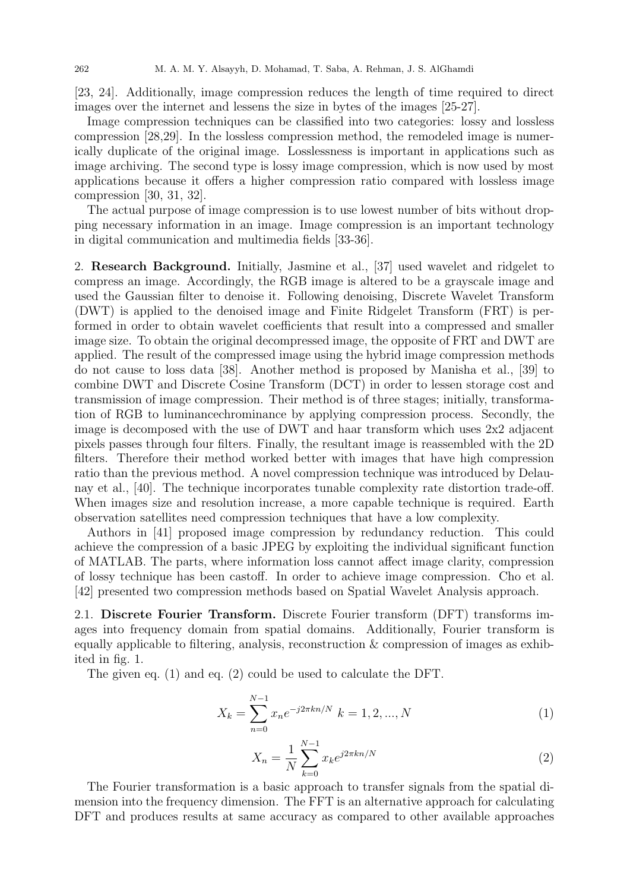[23, 24]. Additionally, image compression reduces the length of time required to direct images over the internet and lessens the size in bytes of the images [25-27].

Image compression techniques can be classified into two categories: lossy and lossless compression [28,29]. In the lossless compression method, the remodeled image is numerically duplicate of the original image. Losslessness is important in applications such as image archiving. The second type is lossy image compression, which is now used by most applications because it offers a higher compression ratio compared with lossless image compression [30, 31, 32].

The actual purpose of image compression is to use lowest number of bits without dropping necessary information in an image. Image compression is an important technology in digital communication and multimedia fields [33-36].

2. Research Background. Initially, Jasmine et al., [37] used wavelet and ridgelet to compress an image. Accordingly, the RGB image is altered to be a grayscale image and used the Gaussian filter to denoise it. Following denoising, Discrete Wavelet Transform (DWT) is applied to the denoised image and Finite Ridgelet Transform (FRT) is performed in order to obtain wavelet coefficients that result into a compressed and smaller image size. To obtain the original decompressed image, the opposite of FRT and DWT are applied. The result of the compressed image using the hybrid image compression methods do not cause to loss data [38]. Another method is proposed by Manisha et al., [39] to combine DWT and Discrete Cosine Transform (DCT) in order to lessen storage cost and transmission of image compression. Their method is of three stages; initially, transformation of RGB to luminancechrominance by applying compression process. Secondly, the image is decomposed with the use of DWT and haar transform which uses  $2x2$  adjacent pixels passes through four filters. Finally, the resultant image is reassembled with the 2D filters. Therefore their method worked better with images that have high compression ratio than the previous method. A novel compression technique was introduced by Delaunay et al., [40]. The technique incorporates tunable complexity rate distortion trade-off. When images size and resolution increase, a more capable technique is required. Earth observation satellites need compression techniques that have a low complexity.

Authors in [41] proposed image compression by redundancy reduction. This could achieve the compression of a basic JPEG by exploiting the individual significant function of MATLAB. The parts, where information loss cannot affect image clarity, compression of lossy technique has been castoff. In order to achieve image compression. Cho et al. [42] presented two compression methods based on Spatial Wavelet Analysis approach.

2.1. Discrete Fourier Transform. Discrete Fourier transform (DFT) transforms images into frequency domain from spatial domains. Additionally, Fourier transform is equally applicable to filtering, analysis, reconstruction  $\&$  compression of images as exhibited in fig. 1.

The given eq. (1) and eq. (2) could be used to calculate the DFT.

$$
X_k = \sum_{n=0}^{N-1} x_n e^{-j2\pi k n/N} \ k = 1, 2, ..., N
$$
 (1)

$$
X_n = \frac{1}{N} \sum_{k=0}^{N-1} x_k e^{j2\pi k n/N}
$$
\n(2)

The Fourier transformation is a basic approach to transfer signals from the spatial dimension into the frequency dimension. The FFT is an alternative approach for calculating DFT and produces results at same accuracy as compared to other available approaches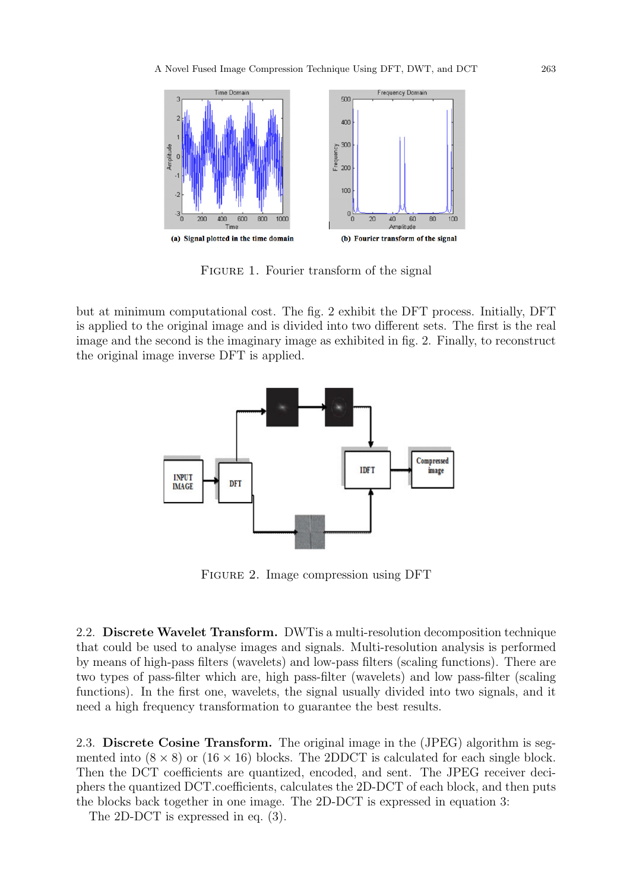

FIGURE 1. Fourier transform of the signal

but at minimum computational cost. The fig. 2 exhibit the DFT process. Initially, DFT is applied to the original image and is divided into two different sets. The first is the real image and the second is the imaginary image as exhibited in fig. 2. Finally, to reconstruct the original image inverse DFT is applied.



Figure 2. Image compression using DFT

2.2. Discrete Wavelet Transform. DWTis a multi-resolution decomposition technique that could be used to analyse images and signals. Multi-resolution analysis is performed by means of high-pass filters (wavelets) and low-pass filters (scaling functions). There are two types of pass-filter which are, high pass-filter (wavelets) and low pass-filter (scaling functions). In the first one, wavelets, the signal usually divided into two signals, and it need a high frequency transformation to guarantee the best results.

2.3. Discrete Cosine Transform. The original image in the (JPEG) algorithm is segmented into  $(8 \times 8)$  or  $(16 \times 16)$  blocks. The 2DDCT is calculated for each single block. Then the DCT coefficients are quantized, encoded, and sent. The JPEG receiver deciphers the quantized DCT.coefficients, calculates the 2D-DCT of each block, and then puts the blocks back together in one image. The 2D-DCT is expressed in equation 3:

The 2D-DCT is expressed in eq. (3).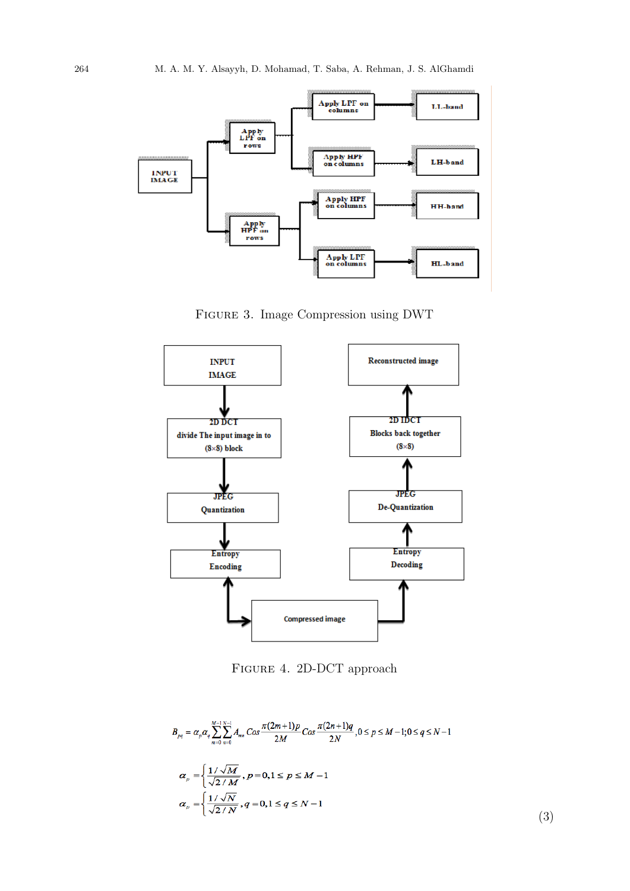

Figure 3. Image Compression using DWT



Figure 4. 2D-DCT approach

$$
B_{pq} = \alpha_p \alpha_q \sum_{m=0}^{M-1} \sum_{n=0}^{N-1} A_{mn} \cos \frac{\pi (2m+1)p}{2M} \cos \frac{\pi (2n+1)q}{2N}, 0 \le p \le M-1; 0 \le q \le N-1
$$
  

$$
\alpha_p = \left\{ \frac{1/\sqrt{M}}{\sqrt{2/M}}, p = 0, 1 \le p \le M-1 \right\}
$$
  

$$
\alpha_p = \left\{ \frac{1/\sqrt{N}}{\sqrt{2/N}}, q = 0, 1 \le q \le N-1 \right\}
$$
  
(3)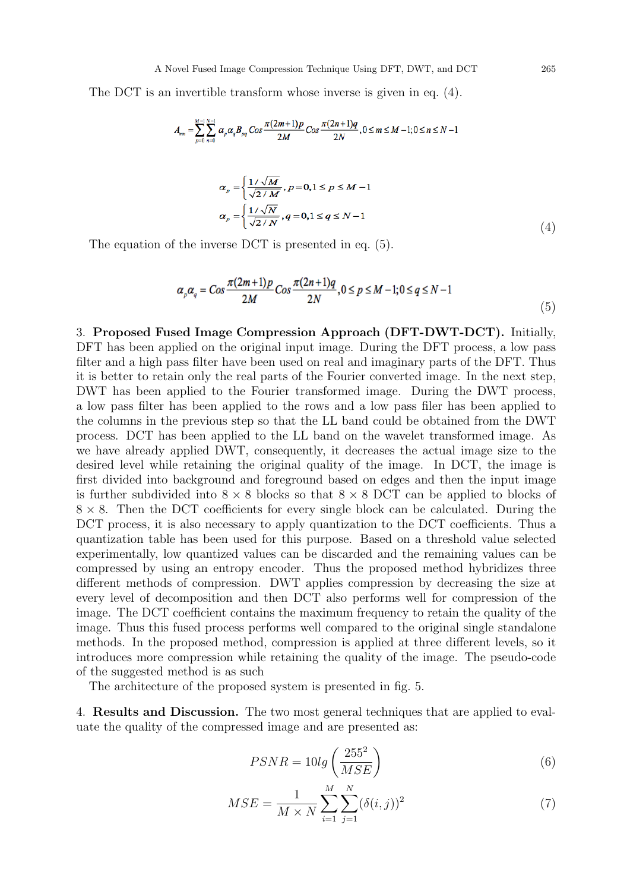The DCT is an invertible transform whose inverse is given in eq. (4).

$$
A_{mn} = \sum_{p=0}^{M-1}\sum_{n=0}^{N-1} \alpha_p \alpha_q B_{pq} \cos \frac{\pi (2m+1)p}{2M} \cos \frac{\pi (2n+1)q}{2N}, 0 \le m \le M-1; 0 \le n \le N-1
$$

$$
\alpha_p = \left\{ \frac{1/\sqrt{M}}{\sqrt{2/M}}, p = 0, 1 \le p \le M - 1 \right\}
$$
  

$$
\alpha_p = \left\{ \frac{1/\sqrt{N}}{\sqrt{2/N}}, q = 0, 1 \le q \le N - 1 \right\}
$$
  
(4)

The equation of the inverse DCT is presented in eq. (5).

$$
\alpha_p \alpha_q = \cos \frac{\pi (2m+1)p}{2M} \cos \frac{\pi (2n+1)q}{2N}, 0 \le p \le M-1; 0 \le q \le N-1
$$
\n(5)

3. Proposed Fused Image Compression Approach (DFT-DWT-DCT). Initially, DFT has been applied on the original input image. During the DFT process, a low pass filter and a high pass filter have been used on real and imaginary parts of the DFT. Thus it is better to retain only the real parts of the Fourier converted image. In the next step, DWT has been applied to the Fourier transformed image. During the DWT process, a low pass filter has been applied to the rows and a low pass filer has been applied to the columns in the previous step so that the LL band could be obtained from the DWT process. DCT has been applied to the LL band on the wavelet transformed image. As we have already applied DWT, consequently, it decreases the actual image size to the desired level while retaining the original quality of the image. In DCT, the image is first divided into background and foreground based on edges and then the input image is further subdivided into  $8 \times 8$  blocks so that  $8 \times 8$  DCT can be applied to blocks of  $8 \times 8$ . Then the DCT coefficients for every single block can be calculated. During the DCT process, it is also necessary to apply quantization to the DCT coefficients. Thus a quantization table has been used for this purpose. Based on a threshold value selected experimentally, low quantized values can be discarded and the remaining values can be compressed by using an entropy encoder. Thus the proposed method hybridizes three different methods of compression. DWT applies compression by decreasing the size at every level of decomposition and then DCT also performs well for compression of the image. The DCT coefficient contains the maximum frequency to retain the quality of the image. Thus this fused process performs well compared to the original single standalone methods. In the proposed method, compression is applied at three different levels, so it introduces more compression while retaining the quality of the image. The pseudo-code of the suggested method is as such

The architecture of the proposed system is presented in fig. 5.

4. Results and Discussion. The two most general techniques that are applied to evaluate the quality of the compressed image and are presented as:

$$
PSNR = 10lg\left(\frac{255^2}{MSE}\right) \tag{6}
$$

$$
MSE = \frac{1}{M \times N} \sum_{i=1}^{M} \sum_{j=1}^{N} (\delta(i,j))^2
$$
 (7)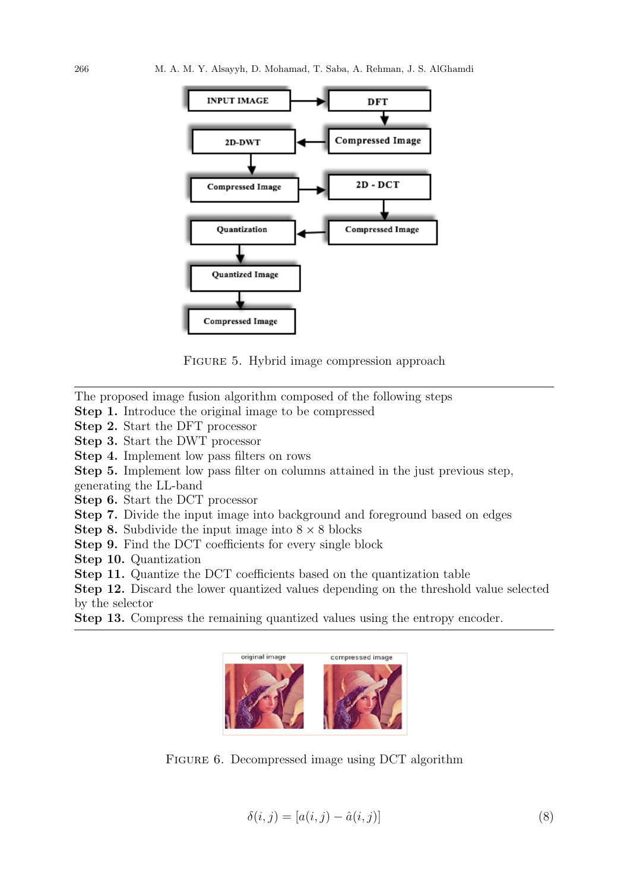

FIGURE 5. Hybrid image compression approach

The proposed image fusion algorithm composed of the following steps

- Step 1. Introduce the original image to be compressed
- Step 2. Start the DFT processor

Step 3. Start the DWT processor

Step 4. Implement low pass filters on rows

Step 5. Implement low pass filter on columns attained in the just previous step,

generating the LL-band

Step 6. Start the DCT processor

Step 7. Divide the input image into background and foreground based on edges

**Step 8.** Subdivide the input image into  $8 \times 8$  blocks

Step 9. Find the DCT coefficients for every single block

Step 10. Quantization

Step 11. Quantize the DCT coefficients based on the quantization table

Step 12. Discard the lower quantized values depending on the threshold value selected by the selector

Step 13. Compress the remaining quantized values using the entropy encoder.



FIGURE 6. Decompressed image using DCT algorithm

$$
\delta(i,j) = [a(i,j) - \hat{a}(i,j)]\tag{8}
$$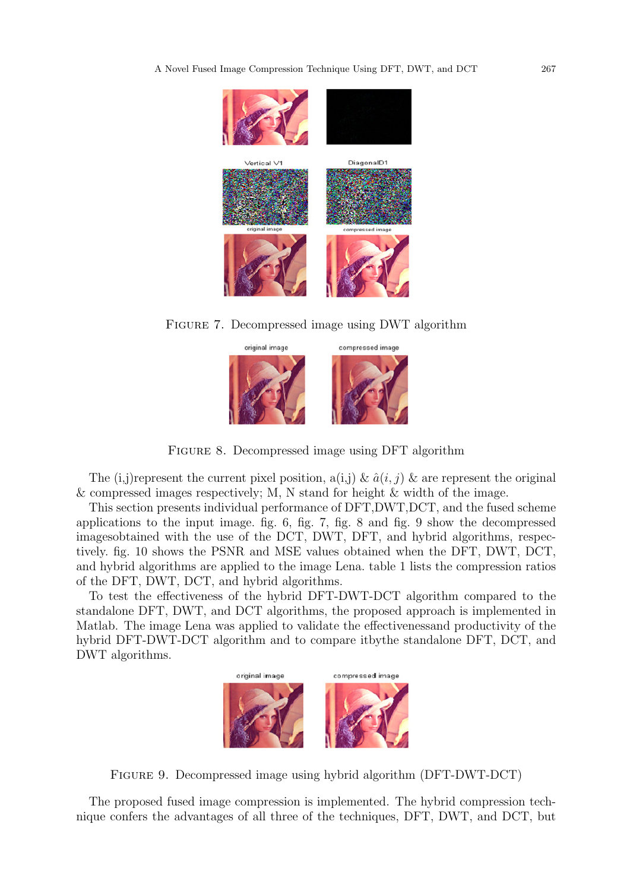

Figure 7. Decompressed image using DWT algorithm



Figure 8. Decompressed image using DFT algorithm

The (i,j)represent the current pixel position,  $a(i,j) \& \hat{a}(i,j) \&$  are represent the original & compressed images respectively; M, N stand for height & width of the image.

This section presents individual performance of DFT,DWT,DCT, and the fused scheme applications to the input image. fig. 6, fig. 7, fig. 8 and fig. 9 show the decompressed imagesobtained with the use of the DCT, DWT, DFT, and hybrid algorithms, respectively. fig. 10 shows the PSNR and MSE values obtained when the DFT, DWT, DCT, and hybrid algorithms are applied to the image Lena. table 1 lists the compression ratios of the DFT, DWT, DCT, and hybrid algorithms.

To test the effectiveness of the hybrid DFT-DWT-DCT algorithm compared to the standalone DFT, DWT, and DCT algorithms, the proposed approach is implemented in Matlab. The image Lena was applied to validate the effectivenessand productivity of the hybrid DFT-DWT-DCT algorithm and to compare itbythe standalone DFT, DCT, and DWT algorithms.



Figure 9. Decompressed image using hybrid algorithm (DFT-DWT-DCT)

The proposed fused image compression is implemented. The hybrid compression technique confers the advantages of all three of the techniques, DFT, DWT, and DCT, but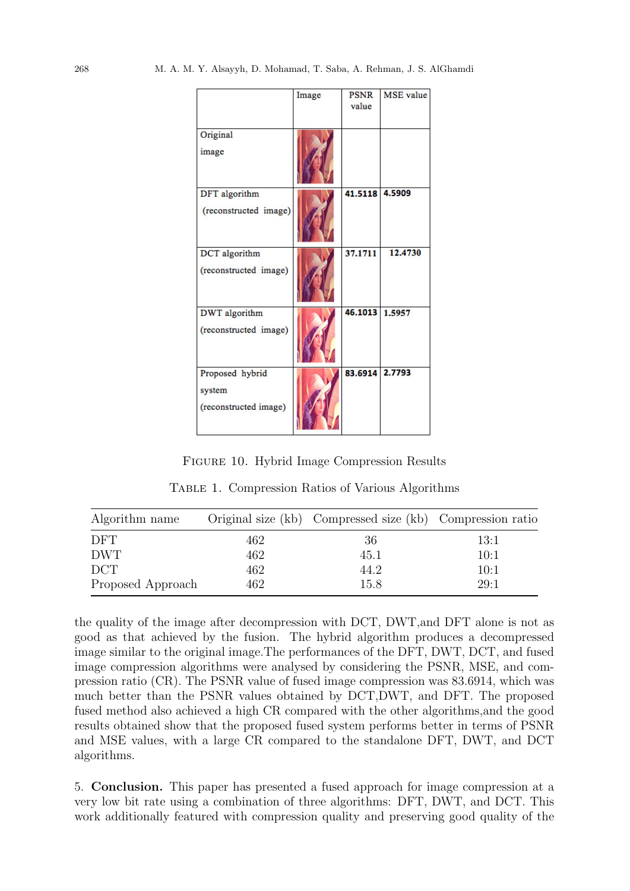|                                                    | Image | <b>PSNR</b><br>value | <b>MSE</b> value |
|----------------------------------------------------|-------|----------------------|------------------|
| Original<br>image                                  |       |                      |                  |
| DFT algorithm<br>(reconstructed image)             |       | 41.5118              | 4.5909           |
| DCT algorithm<br>(reconstructed image)             |       | 37.1711              | 12.4730          |
| <b>DWT</b> algorithm<br>(reconstructed image)      |       | 46.1013              | 1.5957           |
| Proposed hybrid<br>system<br>(reconstructed image) |       | 83.6914 2.7793       |                  |

Figure 10. Hybrid Image Compression Results

Table 1. Compression Ratios of Various Algorithms

| Algorithm name    |     | Original size (kb) Compressed size (kb) Compression ratio |      |
|-------------------|-----|-----------------------------------------------------------|------|
| <b>DFT</b>        | 462 | 36                                                        | 13:1 |
| <b>DWT</b>        | 462 | 45.1                                                      | 10:1 |
| <b>DCT</b>        | 462 | 44.2                                                      | 10:1 |
| Proposed Approach | 462 | 15.8                                                      | 29:1 |

the quality of the image after decompression with DCT, DWT,and DFT alone is not as good as that achieved by the fusion. The hybrid algorithm produces a decompressed image similar to the original image.The performances of the DFT, DWT, DCT, and fused image compression algorithms were analysed by considering the PSNR, MSE, and compression ratio (CR). The PSNR value of fused image compression was 83.6914, which was much better than the PSNR values obtained by DCT,DWT, and DFT. The proposed fused method also achieved a high CR compared with the other algorithms,and the good results obtained show that the proposed fused system performs better in terms of PSNR and MSE values, with a large CR compared to the standalone DFT, DWT, and DCT algorithms.

5. Conclusion. This paper has presented a fused approach for image compression at a very low bit rate using a combination of three algorithms: DFT, DWT, and DCT. This work additionally featured with compression quality and preserving good quality of the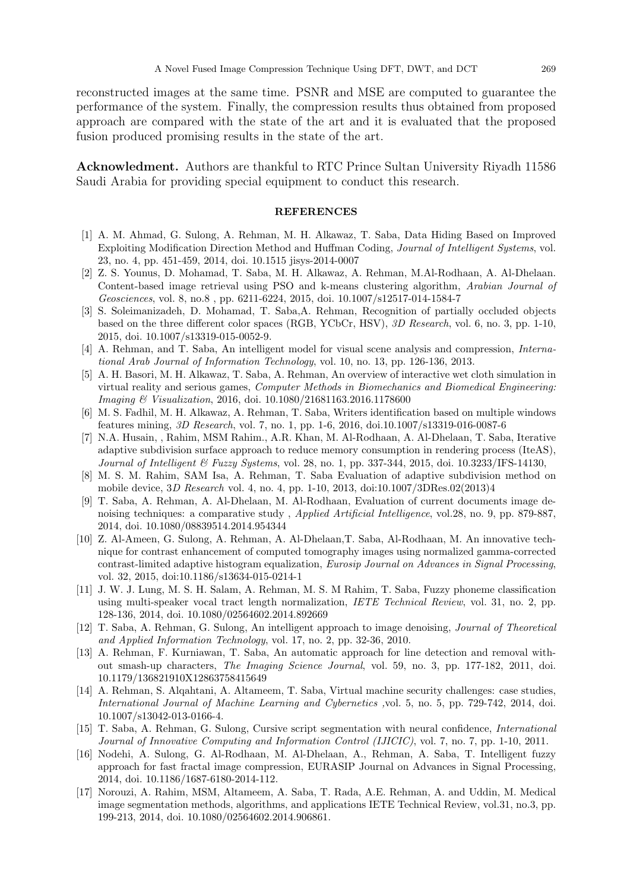reconstructed images at the same time. PSNR and MSE are computed to guarantee the performance of the system. Finally, the compression results thus obtained from proposed approach are compared with the state of the art and it is evaluated that the proposed fusion produced promising results in the state of the art.

Acknowledment. Authors are thankful to RTC Prince Sultan University Riyadh 11586 Saudi Arabia for providing special equipment to conduct this research.

## REFERENCES

- [1] A. M. Ahmad, G. Sulong, A. Rehman, M. H. Alkawaz, T. Saba, Data Hiding Based on Improved Exploiting Modification Direction Method and Huffman Coding, Journal of Intelligent Systems, vol. 23, no. 4, pp. 451-459, 2014, doi. 10.1515 jisys-2014-0007
- [2] Z. S. Younus, D. Mohamad, T. Saba, M. H. Alkawaz, A. Rehman, M.Al-Rodhaan, A. Al-Dhelaan. Content-based image retrieval using PSO and k-means clustering algorithm, Arabian Journal of Geosciences, vol. 8, no.8 , pp. 6211-6224, 2015, doi. 10.1007/s12517-014-1584-7
- [3] S. Soleimanizadeh, D. Mohamad, T. Saba,A. Rehman, Recognition of partially occluded objects based on the three different color spaces (RGB, YCbCr, HSV), 3D Research, vol. 6, no. 3, pp. 1-10, 2015, doi. 10.1007/s13319-015-0052-9.
- [4] A. Rehman, and T. Saba, An intelligent model for visual scene analysis and compression, International Arab Journal of Information Technology, vol. 10, no. 13, pp. 126-136, 2013.
- [5] A. H. Basori, M. H. Alkawaz, T. Saba, A. Rehman, An overview of interactive wet cloth simulation in virtual reality and serious games, Computer Methods in Biomechanics and Biomedical Engineering: Imaging & Visualization, 2016, doi. 10.1080/21681163.2016.1178600
- [6] M. S. Fadhil, M. H. Alkawaz, A. Rehman, T. Saba, Writers identification based on multiple windows features mining, 3D Research, vol. 7, no. 1, pp. 1-6, 2016, doi.10.1007/s13319-016-0087-6
- [7] N.A. Husain, , Rahim, MSM Rahim., A.R. Khan, M. Al-Rodhaan, A. Al-Dhelaan, T. Saba, Iterative adaptive subdivision surface approach to reduce memory consumption in rendering process (IteAS), Journal of Intelligent & Fuzzy Systems, vol. 28, no. 1, pp. 337-344, 2015, doi. 10.3233/IFS-14130,
- [8] M. S. M. Rahim, SAM Isa, A. Rehman, T. Saba Evaluation of adaptive subdivision method on mobile device, 3D Research vol. 4, no. 4, pp. 1-10, 2013, doi:10.1007/3DRes.02(2013)4
- [9] T. Saba, A. Rehman, A. Al-Dhelaan, M. Al-Rodhaan, Evaluation of current documents image denoising techniques: a comparative study , Applied Artificial Intelligence, vol.28, no. 9, pp. 879-887, 2014, doi. 10.1080/08839514.2014.954344
- [10] Z. Al-Ameen, G. Sulong, A. Rehman, A. Al-Dhelaan,T. Saba, Al-Rodhaan, M. An innovative technique for contrast enhancement of computed tomography images using normalized gamma-corrected contrast-limited adaptive histogram equalization, Eurosip Journal on Advances in Signal Processing, vol. 32, 2015, doi:10.1186/s13634-015-0214-1
- [11] J. W. J. Lung, M. S. H. Salam, A. Rehman, M. S. M Rahim, T. Saba, Fuzzy phoneme classification using multi-speaker vocal tract length normalization, IETE Technical Review, vol. 31, no. 2, pp. 128-136, 2014, doi. 10.1080/02564602.2014.892669
- [12] T. Saba, A. Rehman, G. Sulong, An intelligent approach to image denoising, Journal of Theoretical and Applied Information Technology, vol. 17, no. 2, pp. 32-36, 2010.
- [13] A. Rehman, F. Kurniawan, T. Saba, An automatic approach for line detection and removal without smash-up characters, The Imaging Science Journal, vol. 59, no. 3, pp. 177-182, 2011, doi. 10.1179/136821910X12863758415649
- [14] A. Rehman, S. Alqahtani, A. Altameem, T. Saba, Virtual machine security challenges: case studies, International Journal of Machine Learning and Cybernetics ,vol. 5, no. 5, pp. 729-742, 2014, doi. 10.1007/s13042-013-0166-4.
- [15] T. Saba, A. Rehman, G. Sulong, Cursive script segmentation with neural confidence, International Journal of Innovative Computing and Information Control (IJICIC), vol. 7, no. 7, pp. 1-10, 2011.
- [16] Nodehi, A. Sulong, G. Al-Rodhaan, M. Al-Dhelaan, A., Rehman, A. Saba, T. Intelligent fuzzy approach for fast fractal image compression, EURASIP Journal on Advances in Signal Processing, 2014, doi. 10.1186/1687-6180-2014-112.
- [17] Norouzi, A. Rahim, MSM, Altameem, A. Saba, T. Rada, A.E. Rehman, A. and Uddin, M. Medical image segmentation methods, algorithms, and applications IETE Technical Review, vol.31, no.3, pp. 199-213, 2014, doi. 10.1080/02564602.2014.906861.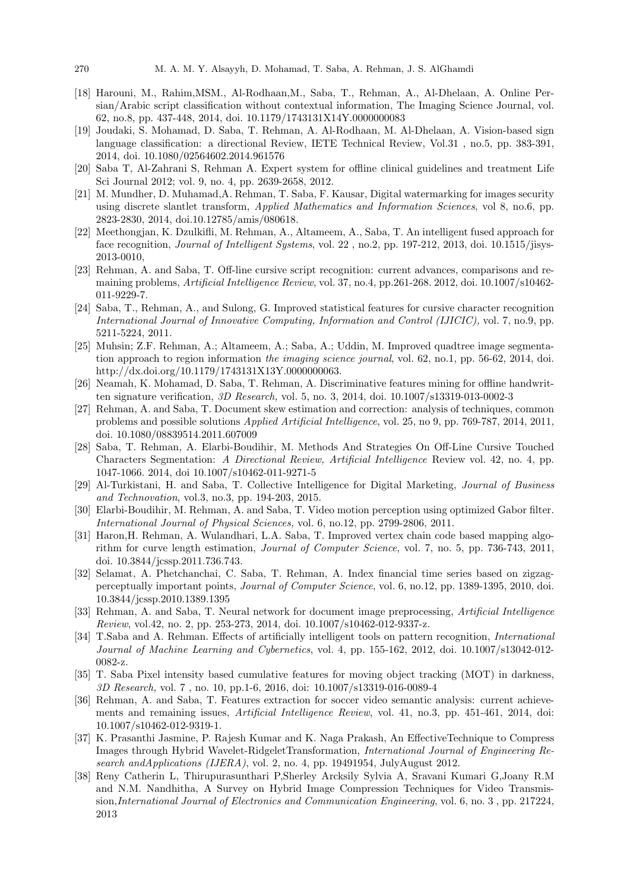- [18] Harouni, M., Rahim,MSM., Al-Rodhaan,M., Saba, T., Rehman, A., Al-Dhelaan, A. Online Persian/Arabic script classification without contextual information, The Imaging Science Journal, vol. 62, no.8, pp. 437-448, 2014, doi. 10.1179/1743131X14Y.0000000083
- [19] Joudaki, S. Mohamad, D. Saba, T. Rehman, A. Al-Rodhaan, M. Al-Dhelaan, A. Vision-based sign language classification: a directional Review, IETE Technical Review, Vol.31 , no.5, pp. 383-391, 2014, doi. 10.1080/02564602.2014.961576
- [20] Saba T, Al-Zahrani S, Rehman A. Expert system for offline clinical guidelines and treatment Life Sci Journal 2012; vol. 9, no. 4, pp. 2639-2658, 2012.
- [21] M. Mundher, D. Muhamad,A. Rehman, T. Saba, F. Kausar, Digital watermarking for images security using discrete slantlet transform, *Applied Mathematics and Information Sciences*, vol 8, no.6, pp. 2823-2830, 2014, doi.10.12785/amis/080618.
- [22] Meethongjan, K. Dzulkifli, M. Rehman, A., Altameem, A., Saba, T. An intelligent fused approach for face recognition, *Journal of Intelligent Systems*, vol. 22, no.2, pp. 197-212, 2013, doi. 10.1515/jisys-2013-0010,
- [23] Rehman, A. and Saba, T. Off-line cursive script recognition: current advances, comparisons and remaining problems, Artificial Intelligence Review, vol. 37, no.4, pp.261-268. 2012, doi. 10.1007/s10462- 011-9229-7.
- [24] Saba, T., Rehman, A., and Sulong, G. Improved statistical features for cursive character recognition International Journal of Innovative Computing, Information and Control (IJICIC), vol. 7, no.9, pp. 5211-5224, 2011.
- [25] Muhsin; Z.F. Rehman, A.; Altameem, A.; Saba, A.; Uddin, M. Improved quadtree image segmentation approach to region information the *imaging science journal*, vol. 62, no.1, pp. 56-62, 2014, doi. http://dx.doi.org/10.1179/1743131X13Y.0000000063.
- [26] Neamah, K. Mohamad, D. Saba, T. Rehman, A. Discriminative features mining for offline handwritten signature verification,  $3D$  Research, vol. 5, no. 3, 2014, doi.  $10.1007 \text{/} s13319 \text{-} 013 \text{-} 0002 \text{-} 3$
- [27] Rehman, A. and Saba, T. Document skew estimation and correction: analysis of techniques, common problems and possible solutions Applied Artificial Intelligence, vol. 25, no 9, pp. 769-787, 2014, 2011, doi. 10.1080/08839514.2011.607009
- [28] Saba, T. Rehman, A. Elarbi-Boudihir, M. Methods And Strategies On Off-Line Cursive Touched Characters Segmentation: A Directional Review, Artificial Intelligence Review vol. 42, no. 4, pp. 1047-1066. 2014, doi 10.1007/s10462-011-9271-5
- [29] Al-Turkistani, H. and Saba, T. Collective Intelligence for Digital Marketing, Journal of Business and Technovation, vol.3, no.3, pp. 194-203, 2015.
- [30] Elarbi-Boudihir, M. Rehman, A. and Saba, T. Video motion perception using optimized Gabor filter. International Journal of Physical Sciences, vol. 6, no.12, pp. 2799-2806, 2011.
- [31] Haron,H. Rehman, A. Wulandhari, L.A. Saba, T. Improved vertex chain code based mapping algorithm for curve length estimation, Journal of Computer Science, vol. 7, no. 5, pp. 736-743, 2011, doi. 10.3844/jcssp.2011.736.743.
- [32] Selamat, A. Phetchanchai, C. Saba, T. Rehman, A. Index financial time series based on zigzagperceptually important points, Journal of Computer Science, vol. 6, no.12, pp. 1389-1395, 2010, doi. 10.3844/jcssp.2010.1389.1395
- [33] Rehman, A. and Saba, T. Neural network for document image preprocessing, Artificial Intelligence Review, vol.42, no. 2, pp. 253-273, 2014, doi. 10.1007/s10462-012-9337-z.
- [34] T.Saba and A. Rehman. Effects of artificially intelligent tools on pattern recognition, International Journal of Machine Learning and Cybernetics, vol. 4, pp. 155-162, 2012, doi. 10.1007/s13042-012-0082-z.
- [35] T. Saba Pixel intensity based cumulative features for moving object tracking (MOT) in darkness, 3D Research, vol. 7 , no. 10, pp.1-6, 2016, doi: 10.1007/s13319-016-0089-4
- [36] Rehman, A. and Saba, T. Features extraction for soccer video semantic analysis: current achievements and remaining issues, *Artificial Intelligence Review*, vol. 41, no.3, pp. 451-461, 2014, doi: 10.1007/s10462-012-9319-1.
- [37] K. Prasanthi Jasmine, P. Rajesh Kumar and K. Naga Prakash, An EffectiveTechnique to Compress Images through Hybrid Wavelet-RidgeletTransformation, International Journal of Engineering Research and Applications (IJERA), vol. 2, no. 4, pp. 19491954, JulyAugust 2012.
- [38] Reny Catherin L, Thirupurasunthari P,Sherley Arcksily Sylvia A, Sravani Kumari G,Joany R.M and N.M. Nandhitha, A Survey on Hybrid Image Compression Techniques for Video Transmission,International Journal of Electronics and Communication Engineering, vol. 6, no. 3 , pp. 217224, 2013